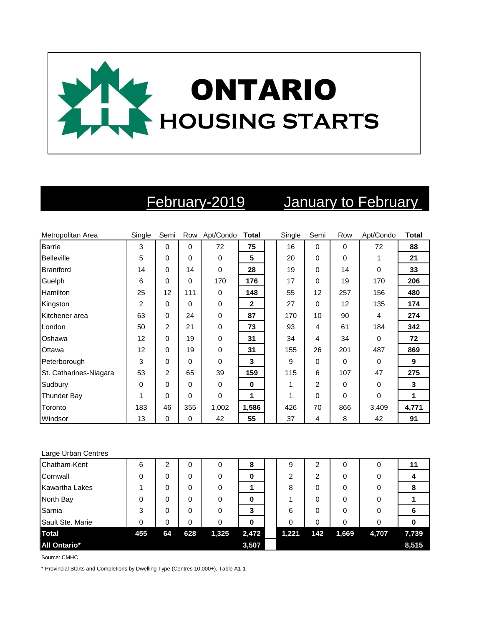

# February-2019 January to February

| Metropolitan Area      | Single | Semi           |          | Row Apt/Condo Total |              | Single | Semi           | Row      | Apt/Condo | <b>Total</b> |
|------------------------|--------|----------------|----------|---------------------|--------------|--------|----------------|----------|-----------|--------------|
| Barrie                 | 3      | 0              | $\Omega$ | 72                  | 75           | 16     | $\Omega$       | 0        | 72        | 88           |
| <b>Belleville</b>      | 5      | 0              | $\Omega$ | 0                   | 5            | 20     | $\Omega$       | $\Omega$ |           | 21           |
| <b>Brantford</b>       | 14     | 0              | 14       | 0                   | 28           | 19     | 0              | 14       | $\Omega$  | 33           |
| Guelph                 | 6      | 0              | $\Omega$ | 170                 | 176          | 17     | 0              | 19       | 170       | 206          |
| Hamilton               | 25     | 12             | 111      | 0                   | 148          | 55     | 12             | 257      | 156       | 480          |
| Kingston               | 2      | 0              | $\Omega$ | 0                   | $\mathbf{2}$ | 27     | 0              | 12       | 135       | 174          |
| Kitchener area         | 63     | 0              | 24       | 0                   | 87           | 170    | 10             | 90       | 4         | 274          |
| London                 | 50     | 2              | 21       | 0                   | 73           | 93     | 4              | 61       | 184       | 342          |
| Oshawa                 | 12     | 0              | 19       | 0                   | 31           | 34     | 4              | 34       | $\Omega$  | 72           |
| Ottawa                 | 12     | 0              | 19       | 0                   | 31           | 155    | 26             | 201      | 487       | 869          |
| Peterborough           | 3      | 0              | $\Omega$ | $\Omega$            | 3            | 9      | 0              | 0        | $\Omega$  | 9            |
| St. Catharines-Niagara | 53     | $\overline{2}$ | 65       | 39                  | 159          | 115    | 6              | 107      | 47        | 275          |
| Sudbury                | 0      | 0              | $\Omega$ | 0                   | $\mathbf 0$  | 1      | $\overline{2}$ | 0        | 0         | 3            |
| <b>Thunder Bay</b>     |        | 0              | $\Omega$ | 0                   | 1            | 1      | $\Omega$       | 0        | $\Omega$  | 1            |
| Toronto                | 183    | 46             | 355      | 1,002               | 1,586        | 426    | 70             | 866      | 3,409     | 4,771        |
| Windsor                | 13     | 0              | $\Omega$ | 42                  | 55           | 37     | 4              | 8        | 42        | 91           |

### Large Urban Centres

| Chatham-Kent          | 6   | 2  | 0   | 0     | 8     | 9     | 2   | 0     | 0     | 11    |
|-----------------------|-----|----|-----|-------|-------|-------|-----|-------|-------|-------|
| Cornwall              | 0   | 0  | 0   | 0     | 0     | 2     | 2   | 0     | 0     |       |
| <b>Kawartha Lakes</b> |     | 0  | 0   | 0     |       | 8     | 0   | 0     | 0     | 8     |
| North Bay             | 0   | 0  | 0   | 0     | 0     |       | 0   | 0     | 0     |       |
| Sarnia                | 3   | 0  | 0   | 0     | 3     | 6     | 0   | 0     | 0     | 6     |
| Sault Ste. Marie      | 0   | 0  | 0   | 0     | 0     | 0     | 0   | 0     | 0     |       |
| <b>Total</b>          | 455 | 64 | 628 | 1,325 | 2,472 | 1,221 | 142 | 1,669 | 4,707 | 7,739 |
| All Ontario*          |     |    |     |       | 3,507 |       |     |       |       | 8,515 |

Source: CMHC

\* Provincial Starts and Completions by Dwelling Type (Centres 10,000+), Table A1-1